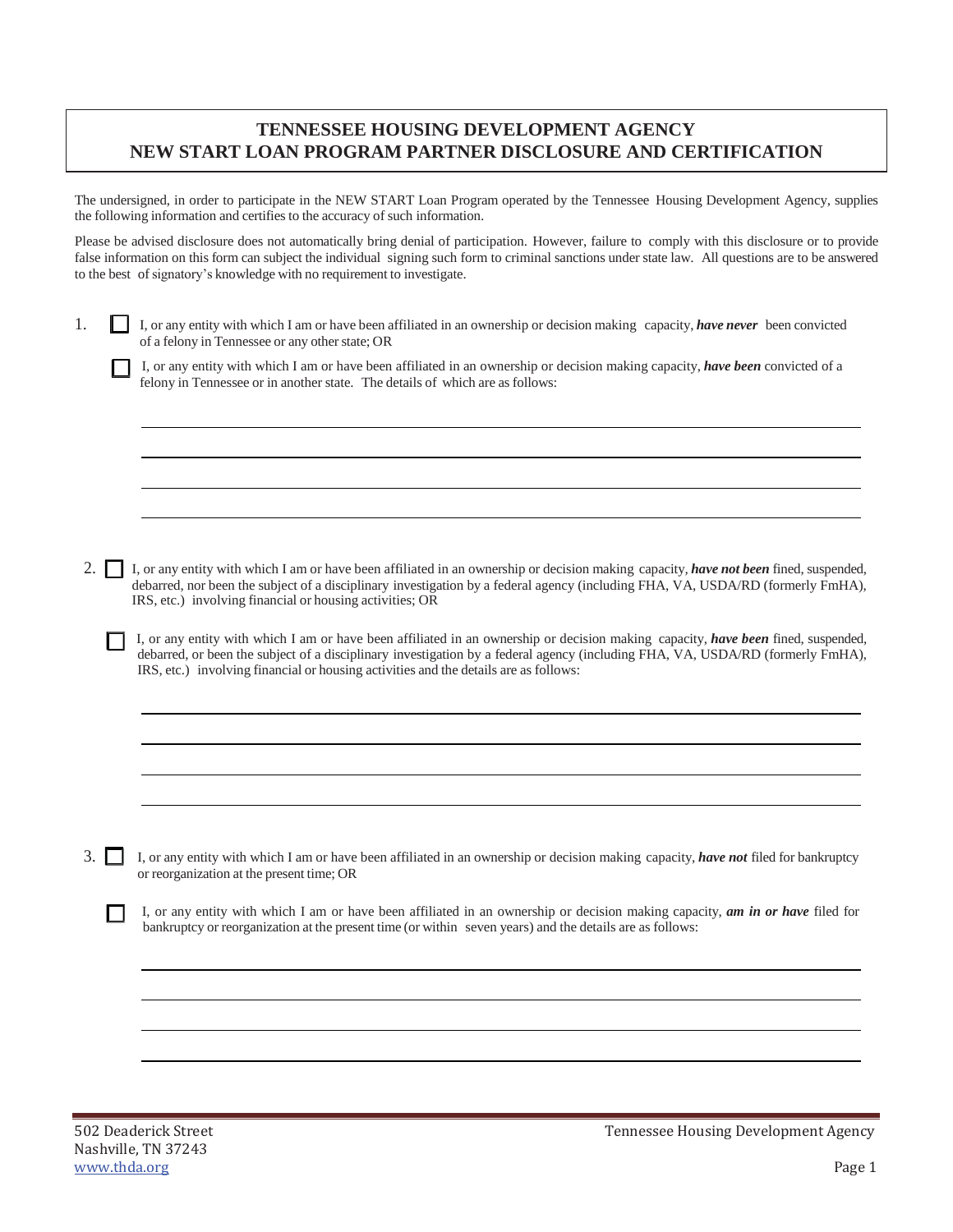## **TENNESSEE HOUSING DEVELOPMENT AGENCY NEW START LOAN PROGRAM PARTNER DISCLOSURE AND CERTIFICATION**

The undersigned, in order to participate in the NEW START Loan Program operated by the Tennessee Housing Development Agency, supplies the following information and certifies to the accuracy of such information.

Please be advised disclosure does not automatically bring denial of participation. However, failure to comply with this disclosure or to provide false information on this form can subject the individual signing such form to criminal sanctions under state law. All questions are to be answered to the best of signatory's knowledge with no requirement to investigate.

1. I, or any entity with which I am or have been affiliated in an ownership or decision making capacity, *have never* been convicted of a felony in Tennessee or any other state; OR

I, or any entity with which I am or have been affiliated in an ownership or decision making capacity, *have been* convicted of a felony in Tennessee or in another state. The details of which are as follows:

2. I, or any entity with which I am or have been affiliated in an ownership or decision making capacity*, have not been* fined, suspended, debarred, nor been the subject of a disciplinary investigation by a federal agency (including FHA, VA, USDA/RD (formerly FmHA), IRS, etc.) involving financial or housing activities; OR

I, or any entity with which I am or have been affiliated in an ownership or decision making capacity, *have been* fined, suspended, debarred, or been the subject of a disciplinary investigation by a federal agency (including FHA, VA, USDA/RD (formerly FmHA), IRS, etc.) involving financial or housing activities and the details are as follows:

3. I, or any entity with which I am or have been affiliated in an ownership or decision making capacity, *have not* filed for bankruptcy or reorganization at the present time; OR

I, or any entity with which I am or have been affiliated in an ownership or decision making capacity, *am in or have* filed for bankruptcy or reorganization at the present time (or within seven years) and the details are as follows:

Tennessee Housing Development Agency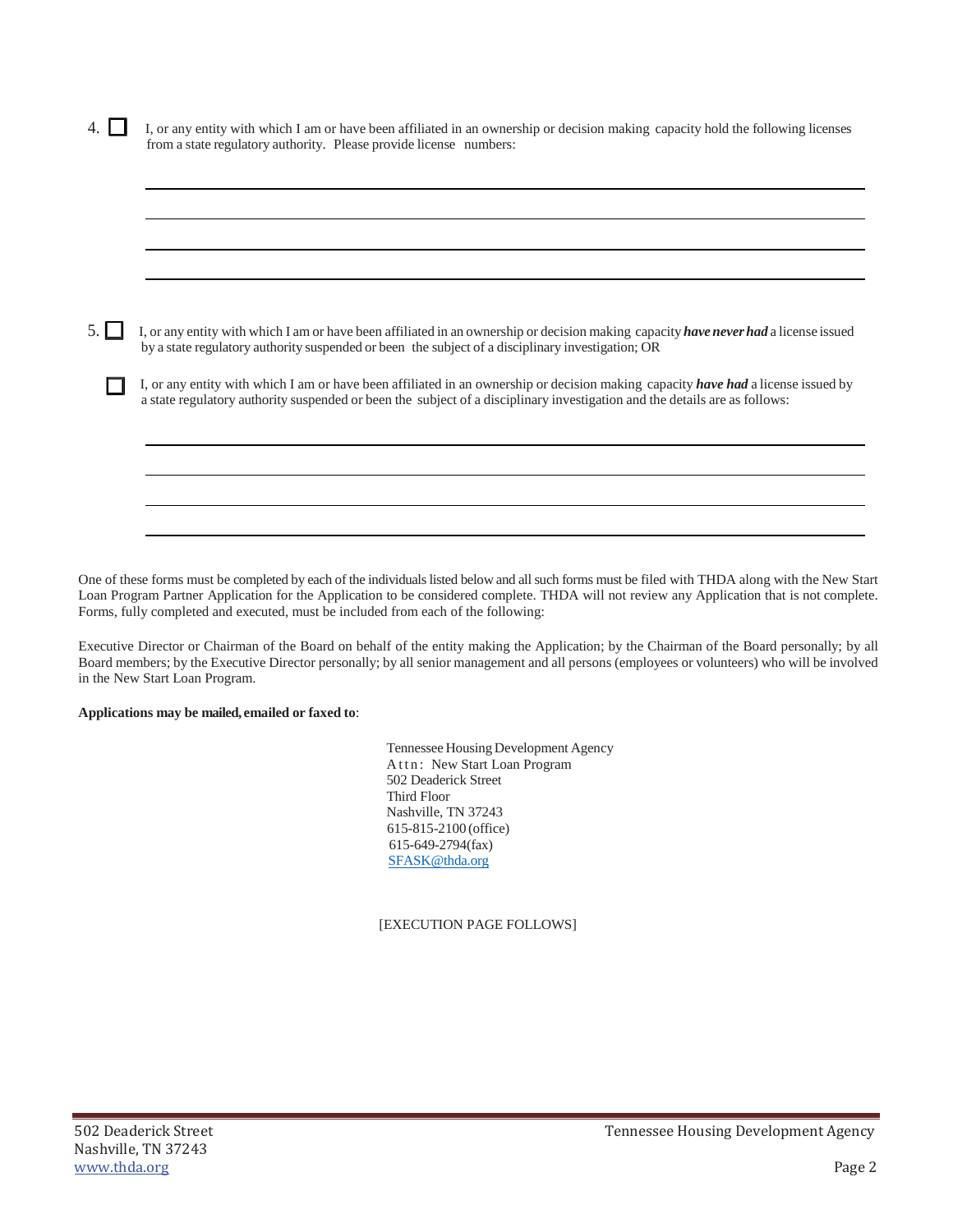4. I, or any entity with which I am or have been affiliated in an ownership or decision making capacity hold the following licenses from a state regulatory authority. Please provide license numbers:

| I, or any entity with which I am or have been affiliated in an ownership or decision making capacity have never had a license issued<br>by a state regulatory authority suspended or been the subject of a disciplinary investigation; OR                       |
|-----------------------------------------------------------------------------------------------------------------------------------------------------------------------------------------------------------------------------------------------------------------|
| I, or any entity with which I am or have been affiliated in an ownership or decision making capacity have had a license issued by<br>a state regulatory authority suspended or been the subject of a disciplinary investigation and the details are as follows: |
|                                                                                                                                                                                                                                                                 |

One of these forms must be completed by each of the individuals listed below and all such forms must be filed with THDA along with the New Start Loan Program Partner Application for the Application to be considered complete. THDA will not review any Application that is not complete. Forms, fully completed and executed, must be included from each of the following:

Executive Director or Chairman of the Board on behalf of the entity making the Application; by the Chairman of the Board personally; by all Board members; by the Executive Director personally; by all senior management and all persons (employees or volunteers) who will be involved in the New Start Loan Program.

**Applications may be mailed, emailed or faxed to**:

Tennessee Housing Development Agency Attn: New Start Loan Program 502 Deaderick Street Third Floor Nashville, TN 37243 615-815-2100 (office) 615-649-2794(fax) [SFASK@thda.org](mailto:SFASK@thda.org)

[EXECUTION PAGE FOLLOWS]